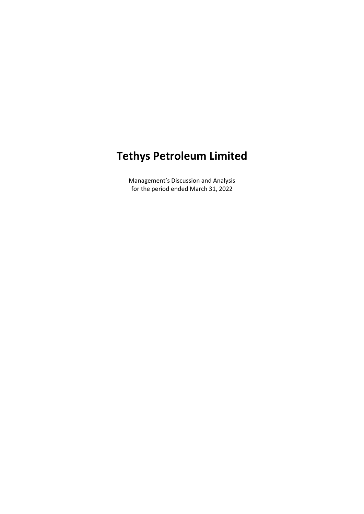# **Tethys Petroleum Limited**

Management's Discussion and Analysis for the period ended March 31, 2022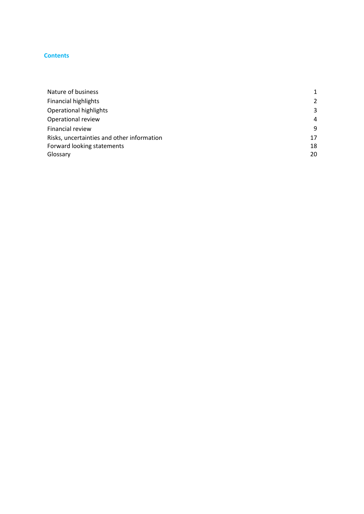#### **Content s**

| Nature of business                         |    |
|--------------------------------------------|----|
| <b>Financial highlights</b>                | 2  |
| Operational highlights                     | 3  |
| Operational review                         | 4  |
| Financial review                           | 9  |
| Risks, uncertainties and other information | 17 |
| Forward looking statements                 | 18 |
| Glossary                                   | 20 |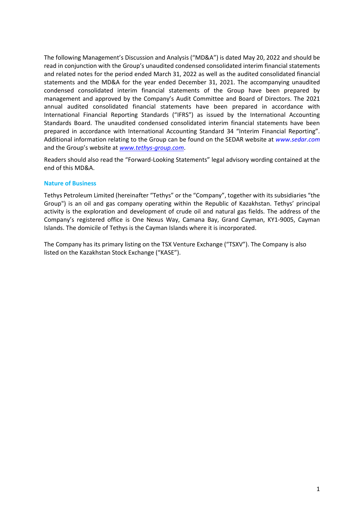The following Management's Discussion and Analysis ("MD&A") is dated May 20, 2022 and should be read in conjunction with the Group's unaudited condensed consolidated interim financial statements and related notes for the period ended March 31, 2022 as well as the audited consolidated financial statements and the MD&A for the year ended December 31, 2021. The accompanying unaudited condensed consolidated interim financial statements of the Group have been prepared by management and approved by the Company's Audit Committee and Board of Directors. The 2021 annual audited consolidated financial statements have been prepared in accordance with International Financial Reporting Standards ("IFRS") as issued by the International Accounting Standards Board. The unaudited condensed consolidated interim financial statements have been prepared in accordance with International Accounting Standard 34 "Interim Financial Reporting". Additional information relating to the Group can be found on the SEDAR website at *[www.sedar.com](http://www.sedar.com/)* and the Group's website at *[www.tethys-group.com](http://www.tethys-group.com/)*.

Readers should also read the "Forward-Looking Statements" legal advisory wording contained at the end of this MD&A.

# <span id="page-2-0"></span>**Nature of Business**

Tethys Petroleum Limited (hereinafter "Tethys" or the "Company", together with its subsidiaries "the Group") is an oil and gas company operating within the Republic of Kazakhstan. Tethys' principal activity is the exploration and development of crude oil and natural gas fields. The address of the Company's registered office is One Nexus Way, Camana Bay, Grand Cayman, KY1-9005, Cayman Islands. The domicile of Tethys is the Cayman Islands where it is incorporated.

The Company has its primary listing on the TSX Venture Exchange ("TSXV"). The Company is also listed on the Kazakhstan Stock Exchange ("KASE").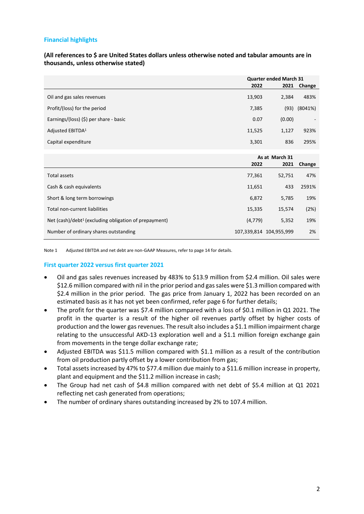# **Financial highlights**

<span id="page-3-0"></span>**(All references to \$ are United States dollars unless otherwise noted and tabular amounts are in thousands, unless otherwise stated)**

|                                                         | Quarter ended March 31 |                         |         |
|---------------------------------------------------------|------------------------|-------------------------|---------|
|                                                         | 2022                   | 2021                    | Change  |
| Oil and gas sales revenues                              | 13,903                 | 2,384                   | 483%    |
| Profit/(loss) for the period                            | 7,385                  | (93)                    | (8041%) |
| Earnings/(loss) $(5)$ per share - basic                 | 0.07                   | (0.00)                  |         |
| Adjusted EBITDA <sup>1</sup>                            | 11,525                 | 1,127                   | 923%    |
| Capital expenditure                                     | 3,301                  | 836                     | 295%    |
|                                                         |                        |                         |         |
|                                                         | 2022                   | As at March 31<br>2021  | Change  |
| Total assets                                            | 77,361                 | 52,751                  | 47%     |
| Cash & cash equivalents                                 | 11,651                 | 433                     | 2591%   |
| Short & long term borrowings                            | 6,872                  | 5,785                   | 19%     |
| <b>Total non-current liabilities</b>                    | 15,335                 | 15,574                  | (2%)    |
| Net $(cash)/debt1$ (excluding obligation of prepayment) | (4, 779)               | 5,352                   | 19%     |
| Number of ordinary shares outstanding                   |                        | 107,339,814 104,955,999 | 2%      |

Note 1 Adjusted EBITDA and net debt are non-GAAP Measures, refer to page 14 for details.

# **First quarter 2022 versus first quarter 2021**

- Oil and gas sales revenues increased by 483% to \$13.9 million from \$2.4 million. Oil sales were \$12.6 million compared with nil in the prior period and gas sales were \$1.3 million compared with \$2.4 million in the prior period. The gas price from January 1, 2022 has been recorded on an estimated basis as it has not yet been confirmed, refer page 6 for further details;
- The profit for the quarter was \$7.4 million compared with a loss of \$0.1 million in Q1 2021. The profit in the quarter is a result of the higher oil revenues partly offset by higher costs of production and the lower gas revenues. The result also includes a \$1.1 million impairment charge relating to the unsuccessful AKD-13 exploration well and a \$1.1 million foreign exchange gain from movements in the tenge dollar exchange rate;
- Adjusted EBITDA was \$11.5 million compared with \$1.1 million as a result of the contribution from oil production partly offset by a lower contribution from gas;
- Total assets increased by 47% to \$77.4 million due mainly to a \$11.6 million increase in property, plant and equipment and the \$11.2 million increase in cash;
- The Group had net cash of \$4.8 million compared with net debt of \$5.4 million at Q1 2021 reflecting net cash generated from operations;
- The number of ordinary shares outstanding increased by 2% to 107.4 million.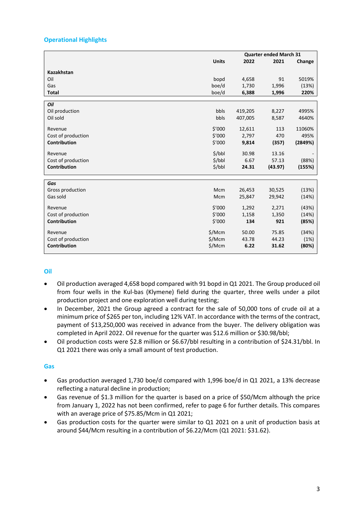# **Operational Highlights**

| <b>Units</b><br>2022<br>2021<br>Change<br><b>Kazakhstan</b><br>Oil<br>91<br>bopd<br>5019%<br>4,658<br>boe/d<br>(13%)<br>Gas<br>1,730<br>1,996<br>boe/d<br>6,388<br>220%<br><b>Total</b><br>1,996<br>Oil<br>Oil production<br>bbls<br>8,227<br>419,205<br>4995%<br>Oil sold<br>bbls<br>407,005<br>8,587<br>4640%<br>\$'000<br>11060%<br>12,611<br>113<br>Revenue<br>\$'000<br>Cost of production<br>2,797<br>470<br>495%<br>\$'000<br><b>Contribution</b><br>9,814<br>(2849%)<br>(357)<br>5/bbl<br>30.98<br>13.16<br>Revenue<br>\$/bbl<br>6.67<br>Cost of production<br>57.13<br>(88%)<br><b>Contribution</b><br>\$/bbl<br>(43.97)<br>(155%)<br>24.31<br>Gas<br>(13%)<br>Gross production<br>Mcm<br>26,453<br>30,525<br>Gas sold<br>(14%)<br>Mcm<br>25,847<br>29,942<br>\$'000<br>(43%)<br>1,292<br>2,271<br>Revenue<br>\$'000<br>Cost of production<br>1,350<br>(14%)<br>1,158<br><b>Contribution</b><br>\$'000<br>(85%)<br>134<br>921<br>\$/Mcm<br>50.00<br>75.85<br>(34%)<br>Revenue<br>\$/Mcm<br>Cost of production<br>43.78<br>44.23<br>(1%) |                     |        | <b>Quarter ended March 31</b> |       |       |  |
|--------------------------------------------------------------------------------------------------------------------------------------------------------------------------------------------------------------------------------------------------------------------------------------------------------------------------------------------------------------------------------------------------------------------------------------------------------------------------------------------------------------------------------------------------------------------------------------------------------------------------------------------------------------------------------------------------------------------------------------------------------------------------------------------------------------------------------------------------------------------------------------------------------------------------------------------------------------------------------------------------------------------------------------------------|---------------------|--------|-------------------------------|-------|-------|--|
|                                                                                                                                                                                                                                                                                                                                                                                                                                                                                                                                                                                                                                                                                                                                                                                                                                                                                                                                                                                                                                                  |                     |        |                               |       |       |  |
|                                                                                                                                                                                                                                                                                                                                                                                                                                                                                                                                                                                                                                                                                                                                                                                                                                                                                                                                                                                                                                                  |                     |        |                               |       |       |  |
|                                                                                                                                                                                                                                                                                                                                                                                                                                                                                                                                                                                                                                                                                                                                                                                                                                                                                                                                                                                                                                                  |                     |        |                               |       |       |  |
|                                                                                                                                                                                                                                                                                                                                                                                                                                                                                                                                                                                                                                                                                                                                                                                                                                                                                                                                                                                                                                                  |                     |        |                               |       |       |  |
|                                                                                                                                                                                                                                                                                                                                                                                                                                                                                                                                                                                                                                                                                                                                                                                                                                                                                                                                                                                                                                                  |                     |        |                               |       |       |  |
|                                                                                                                                                                                                                                                                                                                                                                                                                                                                                                                                                                                                                                                                                                                                                                                                                                                                                                                                                                                                                                                  |                     |        |                               |       |       |  |
|                                                                                                                                                                                                                                                                                                                                                                                                                                                                                                                                                                                                                                                                                                                                                                                                                                                                                                                                                                                                                                                  |                     |        |                               |       |       |  |
|                                                                                                                                                                                                                                                                                                                                                                                                                                                                                                                                                                                                                                                                                                                                                                                                                                                                                                                                                                                                                                                  |                     |        |                               |       |       |  |
|                                                                                                                                                                                                                                                                                                                                                                                                                                                                                                                                                                                                                                                                                                                                                                                                                                                                                                                                                                                                                                                  |                     |        |                               |       |       |  |
|                                                                                                                                                                                                                                                                                                                                                                                                                                                                                                                                                                                                                                                                                                                                                                                                                                                                                                                                                                                                                                                  |                     |        |                               |       |       |  |
|                                                                                                                                                                                                                                                                                                                                                                                                                                                                                                                                                                                                                                                                                                                                                                                                                                                                                                                                                                                                                                                  |                     |        |                               |       |       |  |
|                                                                                                                                                                                                                                                                                                                                                                                                                                                                                                                                                                                                                                                                                                                                                                                                                                                                                                                                                                                                                                                  |                     |        |                               |       |       |  |
|                                                                                                                                                                                                                                                                                                                                                                                                                                                                                                                                                                                                                                                                                                                                                                                                                                                                                                                                                                                                                                                  |                     |        |                               |       |       |  |
|                                                                                                                                                                                                                                                                                                                                                                                                                                                                                                                                                                                                                                                                                                                                                                                                                                                                                                                                                                                                                                                  |                     |        |                               |       |       |  |
|                                                                                                                                                                                                                                                                                                                                                                                                                                                                                                                                                                                                                                                                                                                                                                                                                                                                                                                                                                                                                                                  |                     |        |                               |       |       |  |
|                                                                                                                                                                                                                                                                                                                                                                                                                                                                                                                                                                                                                                                                                                                                                                                                                                                                                                                                                                                                                                                  |                     |        |                               |       |       |  |
|                                                                                                                                                                                                                                                                                                                                                                                                                                                                                                                                                                                                                                                                                                                                                                                                                                                                                                                                                                                                                                                  |                     |        |                               |       |       |  |
|                                                                                                                                                                                                                                                                                                                                                                                                                                                                                                                                                                                                                                                                                                                                                                                                                                                                                                                                                                                                                                                  |                     |        |                               |       |       |  |
|                                                                                                                                                                                                                                                                                                                                                                                                                                                                                                                                                                                                                                                                                                                                                                                                                                                                                                                                                                                                                                                  |                     |        |                               |       |       |  |
|                                                                                                                                                                                                                                                                                                                                                                                                                                                                                                                                                                                                                                                                                                                                                                                                                                                                                                                                                                                                                                                  |                     |        |                               |       |       |  |
|                                                                                                                                                                                                                                                                                                                                                                                                                                                                                                                                                                                                                                                                                                                                                                                                                                                                                                                                                                                                                                                  |                     |        |                               |       |       |  |
|                                                                                                                                                                                                                                                                                                                                                                                                                                                                                                                                                                                                                                                                                                                                                                                                                                                                                                                                                                                                                                                  |                     |        |                               |       |       |  |
|                                                                                                                                                                                                                                                                                                                                                                                                                                                                                                                                                                                                                                                                                                                                                                                                                                                                                                                                                                                                                                                  |                     |        |                               |       |       |  |
|                                                                                                                                                                                                                                                                                                                                                                                                                                                                                                                                                                                                                                                                                                                                                                                                                                                                                                                                                                                                                                                  |                     |        |                               |       |       |  |
|                                                                                                                                                                                                                                                                                                                                                                                                                                                                                                                                                                                                                                                                                                                                                                                                                                                                                                                                                                                                                                                  |                     |        |                               |       |       |  |
|                                                                                                                                                                                                                                                                                                                                                                                                                                                                                                                                                                                                                                                                                                                                                                                                                                                                                                                                                                                                                                                  | <b>Contribution</b> | \$/Mcm | 6.22                          | 31.62 | (80%) |  |

# **Oil**

- Oil production averaged 4,658 bopd compared with 91 bopd in Q1 2021. The Group produced oil from four wells in the Kul-bas (Klymene) field during the quarter, three wells under a pilot production project and one exploration well during testing;
- In December, 2021 the Group agreed a contract for the sale of 50,000 tons of crude oil at a minimum price of \$265 per ton, including 12% VAT. In accordance with the terms of the contract, payment of \$13,250,000 was received in advance from the buyer. The delivery obligation was completed in April 2022. Oil revenue for the quarter was \$12.6 million or \$30.98/bbl;
- Oil production costs were \$2.8 million or \$6.67/bbl resulting in a contribution of \$24.31/bbl. In Q1 2021 there was only a small amount of test production.

# **Gas**

- Gas production averaged 1,730 boe/d compared with 1,996 boe/d in Q1 2021, a 13% decrease reflecting a natural decline in production;
- Gas revenue of \$1.3 million for the quarter is based on a price of \$50/Mcm although the price from January 1, 2022 has not been confirmed, refer to page 6 for further details. This compares with an average price of \$75.85/Mcm in Q1 2021;
- Gas production costs for the quarter were similar to Q1 2021 on a unit of production basis at around \$44/Mcm resulting in a contribution of \$6.22/Mcm (Q1 2021: \$31.62).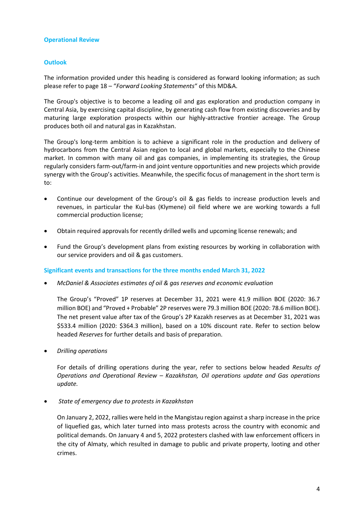#### **Operational Review**

# **Outlook**

The information provided under this heading is considered as forward looking information; as such please refer to page 18 – "*Forward Looking Statements*" of this MD&A.

The Group's objective is to become a leading oil and gas exploration and production company in Central Asia, by exercising capital discipline, by generating cash flow from existing discoveries and by maturing large exploration prospects within our highly-attractive frontier acreage. The Group produces both oil and natural gas in Kazakhstan.

The Group's long-term ambition is to achieve a significant role in the production and delivery of hydrocarbons from the Central Asian region to local and global markets, especially to the Chinese market. In common with many oil and gas companies, in implementing its strategies, the Group regularly considers farm-out/farm-in and joint venture opportunities and new projects which provide synergy with the Group's activities. Meanwhile, the specific focus of management in the short term is to:

- Continue our development of the Group's oil & gas fields to increase production levels and revenues, in particular the Kul-bas (Klymene) oil field where we are working towards a full commercial production license;
- Obtain required approvals for recently drilled wells and upcoming license renewals; and
- Fund the Group's development plans from existing resources by working in collaboration with our service providers and oil & gas customers.

#### **Significant events and transactions for the three months ended March 31, 2022**

• *McDaniel & Associates estimates of oil & gas reserves and economic evaluation*

The Group's "Proved" 1P reserves at December 31, 2021 were 41.9 million BOE (2020: 36.7 million BOE) and "Proved + Probable" 2P reserves were 79.3 million BOE (2020: 78.6 million BOE). The net present value after tax of the Group's 2P Kazakh reserves as at December 31, 2021 was \$533.4 million (2020: \$364.3 million), based on a 10% discount rate. Refer to section below headed *Reserves* for further details and basis of preparation.

• *Drilling operations*

For details of drilling operations during the year, refer to sections below headed *Results of Operations and Operational Review – Kazakhstan, Oil operations update and Gas operations update.*

• *State of emergency due to protests in Kazakhstan*

On January 2, 2022, rallies were held in the Mangistau region against a sharp increase in the price of liquefied gas, which later turned into mass protests across the country with economic and political demands. On January 4 and 5, 2022 protesters clashed with law enforcement officers in the city of Almaty, which resulted in damage to public and private property, looting and other crimes.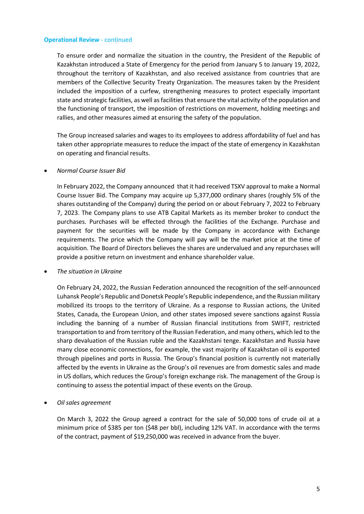To ensure order and normalize the situation in the country, the President of the Republic of Kazakhstan introduced a State of Emergency for the period from January 5 to January 19, 2022, throughout the territory of Kazakhstan, and also received assistance from countries that are members of the Collective Security Treaty Organization. The measures taken by the President included the imposition of a curfew, strengthening measures to protect especially important state and strategic facilities, as well as facilities that ensure the vital activity of the population and the functioning of transport, the imposition of restrictions on movement, holding meetings and rallies, and other measures aimed at ensuring the safety of the population.

The Group increased salaries and wages to its employees to address affordability of fuel and has taken other appropriate measures to reduce the impact of the state of emergency in Kazakhstan on operating and financial results.

# • *Normal Course Issuer Bid*

In February 2022, the Company announced that it had received TSXV approval to make a Normal Course Issuer Bid. The Company may acquire up 5,377,000 ordinary shares (roughly 5% of the shares outstanding of the Company) during the period on or about February 7, 2022 to February 7, 2023. The Company plans to use ATB Capital Markets as its member broker to conduct the purchases. Purchases will be effected through the facilities of the Exchange. Purchase and payment for the securities will be made by the Company in accordance with Exchange requirements. The price which the Company will pay will be the market price at the time of acquisition. The Board of Directors believes the shares are undervalued and any repurchases will provide a positive return on investment and enhance shareholder value.

• *The situation in Ukraine*

On February 24, 2022, the Russian Federation announced the recognition of the self-announced Luhansk People's Republic and Donetsk People's Republic independence, and the Russian military mobilized its troops to the territory of Ukraine. As a response to Russian actions, the United States, Canada, the European Union, and other states imposed severe sanctions against Russia including the banning of a number of Russian financial institutions from SWIFT, restricted transportation to and from territory of the Russian Federation, and many others, which led to the sharp devaluation of the Russian ruble and the Kazakhstani tenge. Kazakhstan and Russia have many close economic connections, for example, the vast majority of Kazakhstan oil is exported through pipelines and ports in Russia. The Group's financial position is currently not materially affected by the events in Ukraine as the Group's oil revenues are from domestic sales and made in US dollars, which reduces the Group's foreign exchange risk. The management of the Group is continuing to assess the potential impact of these events on the Group.

• *Oil sales agreement*

On March 3, 2022 the Group agreed a contract for the sale of 50,000 tons of crude oil at a minimum price of \$385 per ton (\$48 per bbl), including 12% VAT. In accordance with the terms of the contract, payment of \$19,250,000 was received in advance from the buyer.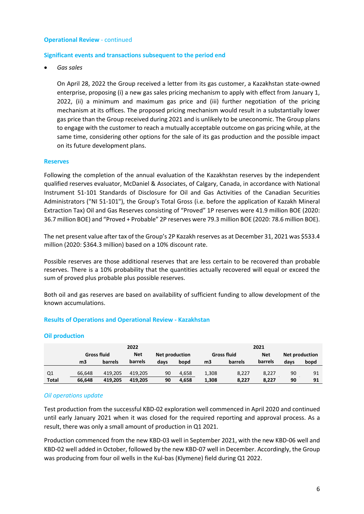#### **Significant events and transactions subsequent to the period end**

• *Gas sales*

On April 28, 2022 the Group received a letter from its gas customer, a Kazakhstan state-owned enterprise, proposing (i) a new gas sales pricing mechanism to apply with effect from January 1, 2022, (ii) a minimum and maximum gas price and (iii) further negotiation of the pricing mechanism at its offices. The proposed pricing mechanism would result in a substantially lower gas price than the Group received during 2021 and is unlikely to be uneconomic. The Group plans to engage with the customer to reach a mutually acceptable outcome on gas pricing while, at the same time, considering other options for the sale of its gas production and the possible impact on its future development plans.

#### **Reserves**

Following the completion of the annual evaluation of the Kazakhstan reserves by the independent qualified reserves evaluator, McDaniel & Associates, of Calgary, Canada, in accordance with National Instrument 51-101 Standards of Disclosure for Oil and Gas Activities of the Canadian Securities Administrators ("NI 51-101"), the Group's Total Gross (i.e. before the application of Kazakh Mineral Extraction Tax) Oil and Gas Reserves consisting of "Proved" 1P reserves were 41.9 million BOE (2020: 36.7 million BOE) and "Proved + Probable" 2P reserves were 79.3 million BOE (2020: 78.6 million BOE).

The net present value after tax of the Group's 2P Kazakh reserves as at December 31, 2021 was \$533.4 million (2020: \$364.3 million) based on a 10% discount rate.

Possible reserves are those additional reserves that are less certain to be recovered than probable reserves. There is a 10% probability that the quantities actually recovered will equal or exceed the sum of proved plus probable plus possible reserves.

Both oil and gas reserves are based on availability of sufficient funding to allow development of the known accumulations.

# **Results of Operations and Operational Review - Kazakhstan**

|              |                    |         | 2022       |                |       |       |                    | 2021       |      |                       |
|--------------|--------------------|---------|------------|----------------|-------|-------|--------------------|------------|------|-----------------------|
|              | <b>Gross fluid</b> |         | <b>Net</b> | Net production |       |       | <b>Gross fluid</b> | <b>Net</b> |      | <b>Net production</b> |
|              | m <sub>3</sub>     | barrels | barrels    | days           | bopd  | mЗ    | barrels            | barrels    | days | bopd                  |
| Q1           | 66.648             | 419.205 | 419.205    | 90             | 4.658 | 1,308 | 8,227              | 8,227      | 90   | 91                    |
| <b>Total</b> | 66.648             | 419.205 | 419.205    | 90             | 4.658 | 1,308 | 8,227              | 8,227      | 90   | 91                    |

# **Oil production**

# *Oil operations update*

Test production from the successful KBD-02 exploration well commenced in April 2020 and continued until early January 2021 when it was closed for the required reporting and approval process. As a result, there was only a small amount of production in Q1 2021.

Production commenced from the new KBD-03 well in September 2021, with the new KBD-06 well and KBD-02 well added in October, followed by the new KBD-07 well in December. Accordingly, the Group was producing from four oil wells in the Kul-bas (Klymene) field during Q1 2022.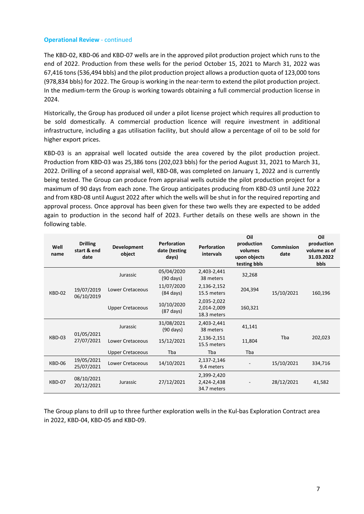The KBD-02, KBD-06 and KBD-07 wells are in the approved pilot production project which runs to the end of 2022. Production from these wells for the period October 15, 2021 to March 31, 2022 was 67,416 tons (536,494 bbls) and the pilot production project allows a production quota of 123,000 tons (978,834 bbls) for 2022. The Group is working in the near-term to extend the pilot production project. In the medium-term the Group is working towards obtaining a full commercial production license in 2024.

Historically, the Group has produced oil under a pilot license project which requires all production to be sold domestically. A commercial production licence will require investment in additional infrastructure, including a gas utilisation facility, but should allow a percentage of oil to be sold for higher export prices.

KBD-03 is an appraisal well located outside the area covered by the pilot production project. Production from KBD-03 was 25,386 tons (202,023 bbls) for the period August 31, 2021 to March 31, 2022. Drilling of a second appraisal well, KBD-08, was completed on January 1, 2022 and is currently being tested. The Group can produce from appraisal wells outside the pilot production project for a maximum of 90 days from each zone. The Group anticipates producing from KBD-03 until June 2022 and from KBD-08 until August 2022 after which the wells will be shut in for the required reporting and approval process. Once approval has been given for these two wells they are expected to be added again to production in the second half of 2023. Further details on these wells are shown in the following table.

| Well<br>name | <b>Drilling</b><br>start & end<br>date | Development<br>object   | <b>Perforation</b><br>date (testing<br>days) | <b>Perforation</b><br>intervals           | Oil<br>production<br>volumes<br>upon objects<br>testing bbls | <b>Commission</b><br>date | Oil<br>production<br>volume as of<br>31.03.2022<br>bbls |
|--------------|----------------------------------------|-------------------------|----------------------------------------------|-------------------------------------------|--------------------------------------------------------------|---------------------------|---------------------------------------------------------|
|              |                                        | Jurassic                | 05/04/2020<br>$(90 \text{ days})$            | 2,403-2,441<br>38 meters                  | 32,268                                                       |                           |                                                         |
| KBD-02       | 19/07/2019<br>06/10/2019               | Lower Cretaceous        | 11/07/2020<br>$(84 \text{ days})$            | 2,136-2,152<br>15.5 meters                | 204,394                                                      | 15/10/2021                | 160,196                                                 |
|              |                                        | <b>Upper Cretaceous</b> | 10/10/2020<br>$(87 \text{ days})$            | 2,035-2,022<br>2,014-2,009<br>18.3 meters | 160,321                                                      |                           |                                                         |
|              | 01/05/2021                             | Jurassic                | 31/08/2021<br>$(90 \text{ days})$            | 2,403-2,441<br>38 meters                  | 41,141                                                       |                           |                                                         |
| KBD-03       | 27/07/2021                             | Lower Cretaceous        | 15/12/2021                                   | 2,136-2,151<br>15.5 meters                | 11,804                                                       | Tba                       | 202,023                                                 |
|              |                                        | <b>Upper Cretaceous</b> | Tba                                          | Tba                                       | Tba                                                          |                           |                                                         |
| KBD-06       | 19/05/2021<br>25/07/2021               | Lower Cretaceous        | 14/10/2021                                   | 2,137-2,146<br>9.4 meters                 |                                                              | 15/10/2021                | 334,716                                                 |
| KBD-07       | 08/10/2021<br>20/12/2021               | Jurassic                | 27/12/2021                                   | 2,399-2,420<br>2,424-2,438<br>34.7 meters |                                                              | 28/12/2021                | 41,582                                                  |

The Group plans to drill up to three further exploration wells in the Kul-bas Exploration Contract area in 2022, KBD-04, KBD-05 and KBD-09.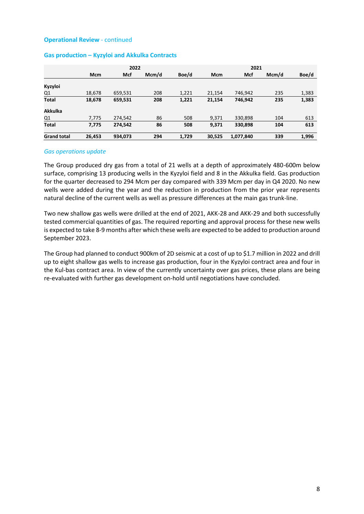|                    |            | 2022    |       |       |            |           |       |       |
|--------------------|------------|---------|-------|-------|------------|-----------|-------|-------|
|                    | <b>Mcm</b> | Mcf     | Mcm/d | Boe/d | <b>Mcm</b> | Mcf       | Mcm/d | Boe/d |
| Kyzyloi            |            |         |       |       |            |           |       |       |
| Q1                 | 18,678     | 659,531 | 208   | 1,221 | 21,154     | 746.942   | 235   | 1,383 |
| <b>Total</b>       | 18,678     | 659,531 | 208   | 1,221 | 21,154     | 746,942   | 235   | 1,383 |
| <b>Akkulka</b>     |            |         |       |       |            |           |       |       |
| Q1                 | 7,775      | 274,542 | 86    | 508   | 9,371      | 330,898   | 104   | 613   |
| <b>Total</b>       | 7,775      | 274,542 | 86    | 508   | 9,371      | 330,898   | 104   | 613   |
| <b>Grand total</b> | 26,453     | 934,073 | 294   | 1,729 | 30,525     | 1,077,840 | 339   | 1,996 |

#### **Gas production – Kyzyloi and Akkulka Contracts**

#### *Gas operations update*

The Group produced dry gas from a total of 21 wells at a depth of approximately 480-600m below surface, comprising 13 producing wells in the Kyzyloi field and 8 in the Akkulka field. Gas production for the quarter decreased to 294 Mcm per day compared with 339 Mcm per day in Q4 2020. No new wells were added during the year and the reduction in production from the prior year represents natural decline of the current wells as well as pressure differences at the main gas trunk-line.

Two new shallow gas wells were drilled at the end of 2021, AKK-28 and AKK-29 and both successfully tested commercial quantities of gas. The required reporting and approval process for these new wells is expected to take 8-9 months after which these wells are expected to be added to production around September 2023.

The Group had planned to conduct 900km of 2D seismic at a cost of up to \$1.7 million in 2022 and drill up to eight shallow gas wells to increase gas production, four in the Kyzyloi contract area and four in the Kul-bas contract area. In view of the currently uncertainty over gas prices, these plans are being re-evaluated with further gas development on-hold until negotiations have concluded.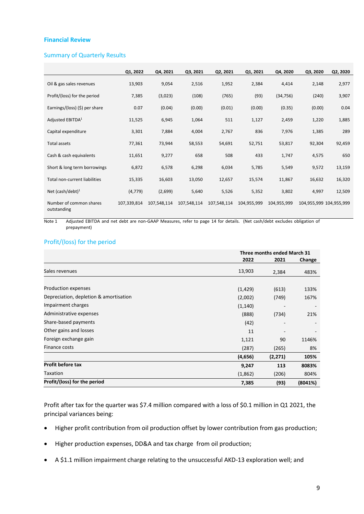#### **Financial Review**

#### Summary of Quarterly Results

|                                        | Q1, 2022    | Q4, 2021    | Q3, 2021    | Q2, 2021    | Q1, 2021    | Q4, 2020    | Q3, 2020                | Q2, 2020 |
|----------------------------------------|-------------|-------------|-------------|-------------|-------------|-------------|-------------------------|----------|
| Oil & gas sales revenues               | 13,903      | 9,054       | 2,516       | 1,952       | 2,384       | 4,414       | 2,148                   | 2,977    |
| Profit/(loss) for the period           | 7,385       | (3,023)     | (108)       | (765)       | (93)        | (34, 756)   | (240)                   | 3,907    |
| Earnings/(loss) (\$) per share         | 0.07        | (0.04)      | (0.00)      | (0.01)      | (0.00)      | (0.35)      | (0.00)                  | 0.04     |
| Adjusted EBITDA <sup>1</sup>           | 11,525      | 6,945       | 1,064       | 511         | 1,127       | 2,459       | 1,220                   | 1,885    |
| Capital expenditure                    | 3,301       | 7,884       | 4,004       | 2,767       | 836         | 7,976       | 1,385                   | 289      |
| Total assets                           | 77,361      | 73,944      | 58,553      | 54,691      | 52,751      | 53,817      | 92,304                  | 92,459   |
| Cash & cash equivalents                | 11,651      | 9,277       | 658         | 508         | 433         | 1,747       | 4,575                   | 650      |
| Short & long term borrowings           | 6,872       | 6,578       | 6,298       | 6,034       | 5,785       | 5,549       | 9,572                   | 13,159   |
| Total non-current liabilities          | 15,335      | 16,603      | 13,050      | 12,657      | 15,574      | 11,867      | 16,632                  | 16,320   |
| Net (cash/debt) $1$                    | (4, 779)    | (2,699)     | 5,640       | 5,526       | 5,352       | 3,802       | 4,997                   | 12,509   |
| Number of common shares<br>outstanding | 107,339,814 | 107,548,114 | 107,548,114 | 107,548,114 | 104,955,999 | 104,955,999 | 104,955,999 104,955,999 |          |

Note 1 Adjusted EBITDA and net debt are non-GAAP Measures, refer to page 14 for details. (Net cash/debt excludes obligation of prepayment)

# Profit/(loss) for the period

|                                        |          | Three months ended March 31 |                          |
|----------------------------------------|----------|-----------------------------|--------------------------|
|                                        | 2022     | 2021                        | Change                   |
| Sales revenues                         | 13,903   | 2,384                       | 483%                     |
|                                        |          |                             |                          |
| Production expenses                    | (1, 429) | (613)                       | 133%                     |
| Depreciation, depletion & amortisation | (2,002)  | (749)                       | 167%                     |
| Impairment charges                     | (1, 140) |                             | $\overline{\phantom{a}}$ |
| Administrative expenses                | (888)    | (734)                       | 21%                      |
| Share-based payments                   | (42)     |                             |                          |
| Other gains and losses                 | 11       |                             |                          |
| Foreign exchange gain                  | 1,121    | 90                          | 1146%                    |
| Finance costs                          | (287)    | (265)                       | 8%                       |
|                                        | (4,656)  | (2,271)                     | 105%                     |
| <b>Profit before tax</b>               | 9,247    | 113                         | 8083%                    |
| Taxation                               | (1,862)  | (206)                       | 804%                     |
| Profit/(loss) for the period           | 7,385    | (93)                        | (8041%)                  |

Profit after tax for the quarter was \$7.4 million compared with a loss of \$0.1 million in Q1 2021, the principal variances being:

- Higher profit contribution from oil production offset by lower contribution from gas production;
- Higher production expenses, DD&A and tax charge from oil production;
- A \$1.1 million impairment charge relating to the unsuccessful AKD-13 exploration well; and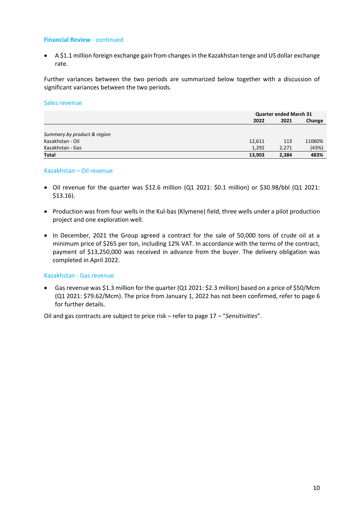• A \$1.1 million foreign exchange gain from changes in the Kazakhstan tenge and US dollar exchange rate.

Further variances between the two periods are summarized below together with a discussion of significant variances between the two periods.

#### Sales revenue

|                             |        | <b>Quarter ended March 31</b> |        |  |  |
|-----------------------------|--------|-------------------------------|--------|--|--|
|                             | 2022   | 2021                          | Change |  |  |
|                             |        |                               |        |  |  |
| Summary by product & region |        |                               |        |  |  |
| Kazakhstan - Oil            | 12,611 | 113                           | 11060% |  |  |
| Kazakhstan - Gas            | 1,292  | 2,271                         | (43%)  |  |  |
| <b>Total</b>                | 13,903 | 2,384                         | 483%   |  |  |

# Kazakhstan – Oil revenue

- Oil revenue for the quarter was \$12.6 million (Q1 2021: \$0.1 million) or \$30.98/bbl (Q1 2021: \$13.16).
- Production was from four wells in the Kul-bas (Klymene) field, three wells under a pilot production project and one exploration well.
- In December, 2021 the Group agreed a contract for the sale of 50,000 tons of crude oil at a minimum price of \$265 per ton, including 12% VAT. In accordance with the terms of the contract, payment of \$13,250,000 was received in advance from the buyer. The delivery obligation was completed in April 2022.

# Kazakhstan - Gas revenue

• Gas revenue was \$1.3 million for the quarter (Q1 2021: \$2.3 million) based on a price of \$50/Mcm (Q1 2021: \$79.62/Mcm). The price from January 1, 2022 has not been confirmed, refer to page 6 for further details.

Oil and gas contracts are subject to price risk – refer to page 17 – "*Sensitivities*".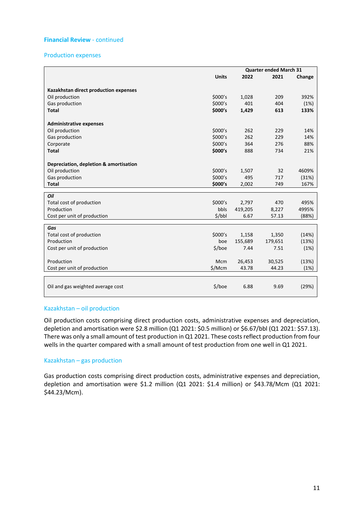# Production expenses

|                                        |              |         | <b>Quarter ended March 31</b> |        |
|----------------------------------------|--------------|---------|-------------------------------|--------|
|                                        | <b>Units</b> | 2022    | 2021                          | Change |
|                                        |              |         |                               |        |
| Kazakhstan direct production expenses  |              |         |                               |        |
| Oil production                         | \$000's      | 1,028   | 209                           | 392%   |
| Gas production                         | \$000's      | 401     | 404                           | (1%)   |
| <b>Total</b>                           | \$000's      | 1,429   | 613                           | 133%   |
| <b>Administrative expenses</b>         |              |         |                               |        |
| Oil production                         | \$000's      | 262     | 229                           | 14%    |
| Gas production                         | \$000's      | 262     | 229                           | 14%    |
| Corporate                              | \$000's      | 364     | 276                           | 88%    |
| <b>Total</b>                           | \$000's      | 888     | 734                           | 21%    |
|                                        |              |         |                               |        |
| Depreciation, depletion & amortisation |              |         |                               |        |
| Oil production                         | \$000's      | 1,507   | 32                            | 4609%  |
| Gas production                         | \$000's      | 495     | 717                           | (31%)  |
| <b>Total</b>                           | \$000's      | 2,002   | 749                           | 167%   |
|                                        |              |         |                               |        |
| Oil                                    |              |         |                               |        |
| Total cost of production<br>Production | \$000's      | 2,797   | 470                           | 495%   |
|                                        | bbls         | 419,205 | 8,227                         | 4995%  |
| Cost per unit of production            | \$/bbl       | 6.67    | 57.13                         | (88%)  |
| Gas                                    |              |         |                               |        |
| Total cost of production               | \$000's      | 1,158   | 1,350                         | (14%)  |
| Production                             | boe          | 155,689 | 179,651                       | (13%)  |
| Cost per unit of production            | $$/$ boe     | 7.44    | 7.51                          | (1%)   |
|                                        |              |         |                               |        |
| Production                             | <b>Mcm</b>   | 26,453  | 30,525                        | (13%)  |
| Cost per unit of production            | \$/Mcm       | 43.78   | 44.23                         | (1%)   |
|                                        |              |         |                               |        |
|                                        |              |         |                               |        |
| Oil and gas weighted average cost      | \$/boe       | 6.88    | 9.69                          | (29%)  |
|                                        |              |         |                               |        |

# Kazakhstan – oil production

Oil production costs comprising direct production costs, administrative expenses and depreciation, depletion and amortisation were \$2.8 million (Q1 2021: \$0.5 million) or \$6.67/bbl (Q1 2021: \$57.13). There was only a small amount of test production in Q1 2021. These costs reflect production from four wells in the quarter compared with a small amount of test production from one well in Q1 2021.

# Kazakhstan – gas production

Gas production costs comprising direct production costs, administrative expenses and depreciation, depletion and amortisation were \$1.2 million (Q1 2021: \$1.4 million) or \$43.78/Mcm (Q1 2021: \$44.23/Mcm).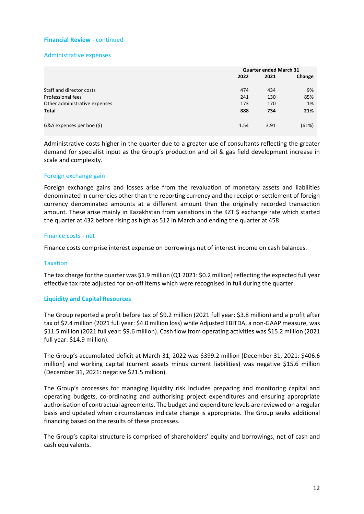# Administrative expenses

|                               |      | <b>Quarter ended March 31</b> |        |  |  |
|-------------------------------|------|-------------------------------|--------|--|--|
|                               | 2022 | 2021                          | Change |  |  |
|                               |      |                               |        |  |  |
| Staff and director costs      | 474  | 434                           | 9%     |  |  |
| Professional fees             | 241  | 130                           | 85%    |  |  |
| Other administrative expenses | 173  | 170                           | 1%     |  |  |
| <b>Total</b>                  | 888  | 734                           | 21%    |  |  |
| G&A expenses per boe (\$)     | 1.54 | 3.91                          | (61%)  |  |  |

Administrative costs higher in the quarter due to a greater use of consultants reflecting the greater demand for specialist input as the Group's production and oil & gas field development increase in scale and complexity.

# Foreign exchange gain

Foreign exchange gains and losses arise from the revaluation of monetary assets and liabilities denominated in currencies other than the reporting currency and the receipt or settlement of foreign currency denominated amounts at a different amount than the originally recorded transaction amount. These arise mainly in Kazakhstan from variations in the KZT:S exchange rate which started the quarter at 432 before rising as high as 512 in March and ending the quarter at 458.

# Finance costs - net

Finance costs comprise interest expense on borrowings net of interest income on cash balances.

# **Taxation**

The tax charge for the quarter was \$1.9 million (Q1 2021: \$0.2 million) reflecting the expected full year effective tax rate adjusted for on-off items which were recognised in full during the quarter.

# **Liquidity and Capital Resources**

The Group reported a profit before tax of \$9.2 million (2021 full year: \$3.8 million) and a profit after tax of \$7.4 million (2021 full year: \$4.0 million loss) while Adjusted EBITDA, a non-GAAP measure, was \$11.5 million (2021 full year: \$9.6 million). Cash flow from operating activities was \$15.2 million (2021 full year: \$14.9 million).

The Group's accumulated deficit at March 31, 2022 was \$399.2 million (December 31, 2021: \$406.6 million) and working capital (current assets minus current liabilities) was negative \$15.6 million (December 31, 2021: negative \$21.5 million).

The Group's processes for managing liquidity risk includes preparing and monitoring capital and operating budgets, co-ordinating and authorising project expenditures and ensuring appropriate authorisation of contractual agreements. The budget and expenditure levels are reviewed on a regular basis and updated when circumstances indicate change is appropriate. The Group seeks additional financing based on the results of these processes.

The Group's capital structure is comprised of shareholders' equity and borrowings, net of cash and cash equivalents.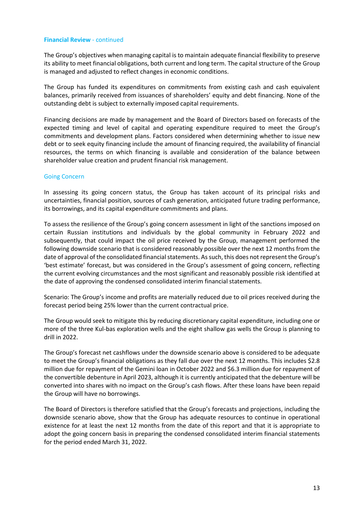The Group's objectives when managing capital is to maintain adequate financial flexibility to preserve its ability to meet financial obligations, both current and long term. The capital structure of the Group is managed and adjusted to reflect changes in economic conditions.

The Group has funded its expenditures on commitments from existing cash and cash equivalent balances, primarily received from issuances of shareholders' equity and debt financing. None of the outstanding debt is subject to externally imposed capital requirements.

Financing decisions are made by management and the Board of Directors based on forecasts of the expected timing and level of capital and operating expenditure required to meet the Group's commitments and development plans. Factors considered when determining whether to issue new debt or to seek equity financing include the amount of financing required, the availability of financial resources, the terms on which financing is available and consideration of the balance between shareholder value creation and prudent financial risk management.

# Going Concern

In assessing its going concern status, the Group has taken account of its principal risks and uncertainties, financial position, sources of cash generation, anticipated future trading performance, its borrowings, and its capital expenditure commitments and plans.

To assess the resilience of the Group's going concern assessment in light of the sanctions imposed on certain Russian institutions and individuals by the global community in February 2022 and subsequently, that could impact the oil price received by the Group, management performed the following downside scenario that is considered reasonably possible over the next 12 months from the date of approval of the consolidated financial statements. As such, this does not represent the Group's 'best estimate' forecast, but was considered in the Group's assessment of going concern, reflecting the current evolving circumstances and the most significant and reasonably possible risk identified at the date of approving the condensed consolidated interim financial statements.

Scenario: The Group's income and profits are materially reduced due to oil prices received during the forecast period being 25% lower than the current contractual price.

The Group would seek to mitigate this by reducing discretionary capital expenditure, including one or more of the three Kul-bas exploration wells and the eight shallow gas wells the Group is planning to drill in 2022.

The Group's forecast net cashflows under the downside scenario above is considered to be adequate to meet the Group's financial obligations as they fall due over the next 12 months. This includes \$2.8 million due for repayment of the Gemini loan in October 2022 and \$6.3 million due for repayment of the convertible debenture in April 2023, although it is currently anticipated that the debenture will be converted into shares with no impact on the Group's cash flows. After these loans have been repaid the Group will have no borrowings.

The Board of Directors is therefore satisfied that the Group's forecasts and projections, including the downside scenario above, show that the Group has adequate resources to continue in operational existence for at least the next 12 months from the date of this report and that it is appropriate to adopt the going concern basis in preparing the condensed consolidated interim financial statements for the period ended March 31, 2022.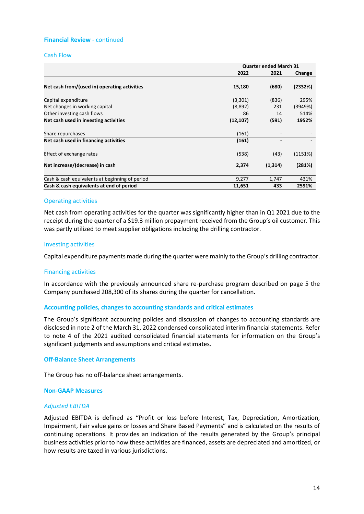#### Cash Flow

|                                                | <b>Quarter ended March 31</b> |          |         |  |
|------------------------------------------------|-------------------------------|----------|---------|--|
|                                                | 2022                          | 2021     | Change  |  |
|                                                |                               |          |         |  |
| Net cash from/(used in) operating activities   | 15,180                        | (680)    | (2332%) |  |
| Capital expenditure                            | (3,301)                       | (836)    | 295%    |  |
| Net changes in working capital                 | (8,892)                       | 231      | (3949%) |  |
| Other investing cash flows                     | 86                            | 14       | 514%    |  |
| Net cash used in investing activities          | (12, 107)                     | (591)    | 1952%   |  |
| Share repurchases                              | (161)                         |          |         |  |
| Net cash used in financing activities          | (161)                         | -        |         |  |
| Effect of exchange rates                       | (538)                         | (43)     | (1151%) |  |
| Net increase/(decrease) in cash                | 2,374                         | (1, 314) | (281%)  |  |
| Cash & cash equivalents at beginning of period | 9,277                         | 1,747    | 431%    |  |
| Cash & cash equivalents at end of period       | 11,651                        | 433      | 2591%   |  |

#### Operating activities

Net cash from operating activities for the quarter was significantly higher than in Q1 2021 due to the receipt during the quarter of a \$19.3 million prepayment received from the Group's oil customer. This was partly utilized to meet supplier obligations including the drilling contractor.

#### Investing activities

Capital expenditure payments made during the quarter were mainly to the Group's drilling contractor.

#### Financing activities

In accordance with the previously announced share re-purchase program described on page 5 the Company purchased 208,300 of its shares during the quarter for cancellation.

#### **Accounting policies, changes to accounting standards and critical estimates**

The Group's significant accounting policies and discussion of changes to accounting standards are disclosed in note 2 of the March 31, 2022 condensed consolidated interim financial statements. Refer to note 4 of the 2021 audited consolidated financial statements for information on the Group's significant judgments and assumptions and critical estimates.

#### **Off-Balance Sheet Arrangements**

The Group has no off-balance sheet arrangements.

#### **Non-GAAP Measures**

#### *Adjusted EBITDA*

Adjusted EBITDA is defined as "Profit or loss before Interest, Tax, Depreciation, Amortization, Impairment, Fair value gains or losses and Share Based Payments" and is calculated on the results of continuing operations. It provides an indication of the results generated by the Group's principal business activities prior to how these activities are financed, assets are depreciated and amortized, or how results are taxed in various jurisdictions.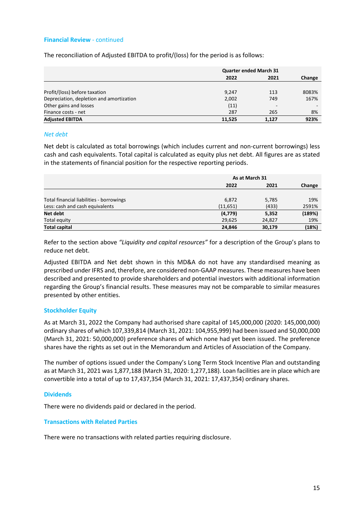The reconciliation of Adjusted EBITDA to profit/(loss) for the period is as follows:

|                                          | <b>Quarter ended March 31</b> |                          |        |
|------------------------------------------|-------------------------------|--------------------------|--------|
|                                          | 2022                          | 2021                     | Change |
|                                          |                               |                          |        |
| Profit/(loss) before taxation            | 9,247                         | 113                      | 8083%  |
| Depreciation, depletion and amortization | 2,002                         | 749                      | 167%   |
| Other gains and losses                   | (11)                          | $\overline{\phantom{a}}$ |        |
| Finance costs - net                      | 287                           | 265                      | 8%     |
| <b>Adjusted EBITDA</b>                   | 11.525                        | 1.127                    | 923%   |

#### *Net debt*

Net debt is calculated as total borrowings (which includes current and non-current borrowings) less cash and cash equivalents. Total capital is calculated as equity plus net debt. All figures are as stated in the statements of financial position for the respective reporting periods.

|                                          | As at March 31 |        |        |
|------------------------------------------|----------------|--------|--------|
|                                          | 2022           | 2021   | Change |
|                                          |                |        |        |
| Total financial liabilities - borrowings | 6,872          | 5,785  | 19%    |
| Less: cash and cash equivalents          | (11,651)       | (433)  | 2591%  |
| Net debt                                 | (4,779)        | 5,352  | (189%) |
| Total equity                             | 29,625         | 24,827 | 19%    |
| <b>Total capital</b>                     | 24,846         | 30,179 | (18%)  |

Refer to the section above *"Liquidity and capital resources"* for a description of the Group's plans to reduce net debt.

Adjusted EBITDA and Net debt shown in this MD&A do not have any standardised meaning as prescribed under IFRS and, therefore, are considered non-GAAP measures. These measures have been described and presented to provide shareholders and potential investors with additional information regarding the Group's financial results. These measures may not be comparable to similar measures presented by other entities.

# **Stockholder Equity**

As at March 31, 2022 the Company had authorised share capital of 145,000,000 (2020: 145,000,000) ordinary shares of which 107,339,814 (March 31, 2021: 104,955,999) had been issued and 50,000,000 (March 31, 2021: 50,000,000) preference shares of which none had yet been issued. The preference shares have the rights as set out in the Memorandum and Articles of Association of the Company.

The number of options issued under the Company's Long Term Stock Incentive Plan and outstanding as at March 31, 2021 was 1,877,188 (March 31, 2020: 1,277,188). Loan facilities are in place which are convertible into a total of up to 17,437,354 (March 31, 2021: 17,437,354) ordinary shares.

# **Dividends**

There were no dividends paid or declared in the period.

# **Transactions with Related Parties**

There were no transactions with related parties requiring disclosure.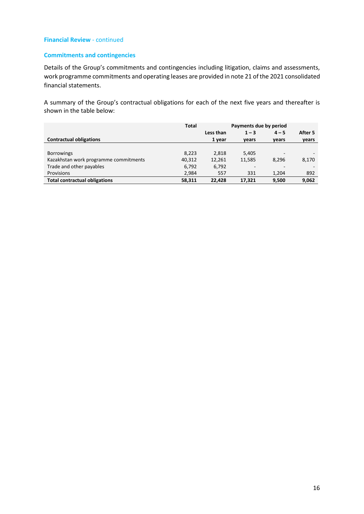# **Commitments and contingencies**

Details of the Group's commitments and contingencies including litigation, claims and assessments, work programme commitments and operating leases are provided in note 21 of the 2021 consolidated financial statements.

A summary of the Group's contractual obligations for each of the next five years and thereafter is shown in the table below:

|                                       | <b>Total</b> | Payments due by period |                          |                          |         |
|---------------------------------------|--------------|------------------------|--------------------------|--------------------------|---------|
|                                       |              | Less than              | $1 - 3$                  | $4 - 5$                  | After 5 |
| <b>Contractual obligations</b>        |              | 1 year                 | vears                    | vears                    | years   |
|                                       |              |                        |                          |                          |         |
| <b>Borrowings</b>                     | 8,223        | 2.818                  | 5,405                    | -                        |         |
| Kazakhstan work programme commitments | 40,312       | 12,261                 | 11,585                   | 8.296                    | 8,170   |
| Trade and other payables              | 6,792        | 6,792                  | $\overline{\phantom{a}}$ | $\overline{\phantom{a}}$ |         |
| Provisions                            | 2,984        | 557                    | 331                      | 1.204                    | 892     |
| <b>Total contractual obligations</b>  | 58.311       | 22.428                 | 17.321                   | 9,500                    | 9,062   |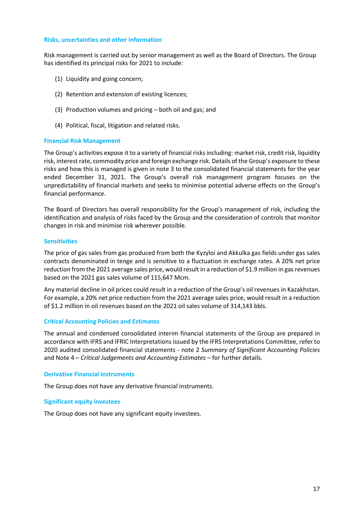#### **Risks, uncertainties and other information**

Risk management is carried out by senior management as well as the Board of Directors. The Group has identified its principal risks for 2021 to include:

- (1) Liquidity and going concern;
- (2) Retention and extension of existing licences;
- (3) Production volumes and pricing both oil and gas; and
- (4) Political, fiscal, litigation and related risks.

#### **Financial Risk Management**

The Group's activities expose it to a variety of financial risks including: market risk, credit risk, liquidity risk, interest rate, commodity price and foreign exchange risk. Details of the Group's exposure to these risks and how this is managed is given in note 3 to the consolidated financial statements for the year ended December 31, 2021. The Group's overall risk management program focuses on the unpredictability of financial markets and seeks to minimise potential adverse effects on the Group's financial performance.

The Board of Directors has overall responsibility for the Group's management of risk, including the identification and analysis of risks faced by the Group and the consideration of controls that monitor changes in risk and minimise risk wherever possible.

#### **Sensitivities**

The price of gas sales from gas produced from both the Kyzyloi and Akkulka gas fields under gas sales contracts denominated in tenge and is sensitive to a fluctuation in exchange rates. A 20% net price reduction from the 2021 average sales price, would result in a reduction of \$1.9 million in gas revenues based on the 2021 gas sales volume of 115,647 Mcm.

Any material decline in oil prices could result in a reduction of the Group's oil revenues in Kazakhstan. For example, a 20% net price reduction from the 2021 average sales price, would result in a reduction of \$1.2 million in oil revenues based on the 2021 oil sales volume of 314,143 bbls.

# **Critical Accounting Policies and Estimates**

The annual and condensed consolidated interim financial statements of the Group are prepared in accordance with IFRS and IFRIC Interpretations issued by the IFRS Interpretations Committee, refer to 2020 audited consolidated financial statements - note 2 *Summary of Significant Accounting Policies* and Note 4 – *Critical Judgements and Accounting Estimates* – for further details.

#### **Derivative Financial Instruments**

The Group does not have any derivative financial instruments.

# **Significant equity investees**

The Group does not have any significant equity investees.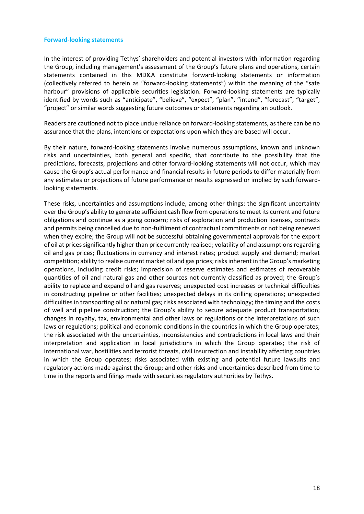#### **Forward-looking statements**

In the interest of providing Tethys' shareholders and potential investors with information regarding the Group, including management's assessment of the Group's future plans and operations, certain statements contained in this MD&A constitute forward-looking statements or information (collectively referred to herein as "forward-looking statements") within the meaning of the "safe harbour" provisions of applicable securities legislation. Forward-looking statements are typically identified by words such as "anticipate", "believe", "expect", "plan", "intend", "forecast", "target", "project" or similar words suggesting future outcomes or statements regarding an outlook.

Readers are cautioned not to place undue reliance on forward-looking statements, as there can be no assurance that the plans, intentions or expectations upon which they are based will occur.

By their nature, forward-looking statements involve numerous assumptions, known and unknown risks and uncertainties, both general and specific, that contribute to the possibility that the predictions, forecasts, projections and other forward-looking statements will not occur, which may cause the Group's actual performance and financial results in future periods to differ materially from any estimates or projections of future performance or results expressed or implied by such forwardlooking statements.

These risks, uncertainties and assumptions include, among other things: the significant uncertainty over the Group's ability to generate sufficient cash flow from operations to meet its current and future obligations and continue as a going concern; risks of exploration and production licenses, contracts and permits being cancelled due to non-fulfilment of contractual commitments or not being renewed when they expire; the Group will not be successful obtaining governmental approvals for the export of oil at prices significantly higher than price currently realised; volatility of and assumptions regarding oil and gas prices; fluctuations in currency and interest rates; product supply and demand; market competition; ability to realise current market oil and gas prices; risks inherent in the Group's marketing operations, including credit risks; imprecision of reserve estimates and estimates of recoverable quantities of oil and natural gas and other sources not currently classified as proved; the Group's ability to replace and expand oil and gas reserves; unexpected cost increases or technical difficulties in constructing pipeline or other facilities; unexpected delays in its drilling operations; unexpected difficulties in transporting oil or natural gas; risks associated with technology; the timing and the costs of well and pipeline construction; the Group's ability to secure adequate product transportation; changes in royalty, tax, environmental and other laws or regulations or the interpretations of such laws or regulations; political and economic conditions in the countries in which the Group operates; the risk associated with the uncertainties, inconsistencies and contradictions in local laws and their interpretation and application in local jurisdictions in which the Group operates; the risk of international war, hostilities and terrorist threats, civil insurrection and instability affecting countries in which the Group operates; risks associated with existing and potential future lawsuits and regulatory actions made against the Group; and other risks and uncertainties described from time to time in the reports and filings made with securities regulatory authorities by Tethys.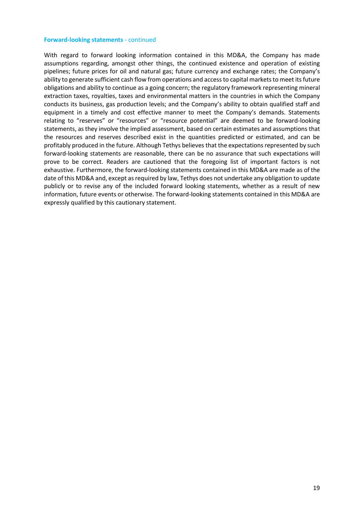#### **Forward-looking statements** - continued

With regard to forward looking information contained in this MD&A, the Company has made assumptions regarding, amongst other things, the continued existence and operation of existing pipelines; future prices for oil and natural gas; future currency and exchange rates; the Company's ability to generate sufficient cash flow from operations and access to capital markets to meet its future obligations and ability to continue as a going concern; the regulatory framework representing mineral extraction taxes, royalties, taxes and environmental matters in the countries in which the Company conducts its business, gas production levels; and the Company's ability to obtain qualified staff and equipment in a timely and cost effective manner to meet the Company's demands. Statements relating to "reserves" or "resources" or "resource potential" are deemed to be forward-looking statements, as they involve the implied assessment, based on certain estimates and assumptions that the resources and reserves described exist in the quantities predicted or estimated, and can be profitably produced in the future. Although Tethys believes that the expectations represented by such forward-looking statements are reasonable, there can be no assurance that such expectations will prove to be correct. Readers are cautioned that the foregoing list of important factors is not exhaustive. Furthermore, the forward-looking statements contained in this MD&A are made as of the date of this MD&A and, except as required by law, Tethys does not undertake any obligation to update publicly or to revise any of the included forward looking statements, whether as a result of new information, future events or otherwise. The forward-looking statements contained in this MD&A are expressly qualified by this cautionary statement.